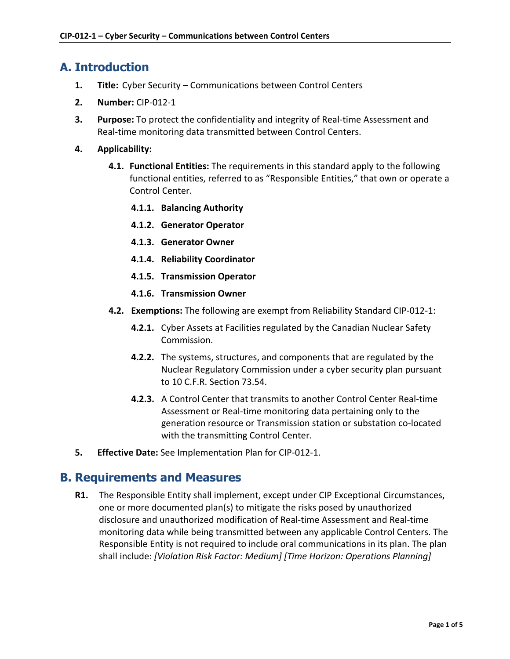### **A. Introduction**

- **1. Title:** Cyber Security Communications between Control Centers
- **2. Number:** CIP-012-1
- **3. Purpose:** To protect the confidentiality and integrity of Real-time Assessment and Real-time monitoring data transmitted between Control Centers.
- **4. Applicability:** 
	- **4.1. Functional Entities:** The requirements in this standard apply to the following functional entities, referred to as "Responsible Entities," that own or operate a Control Center.
		- **4.1.1. Balancing Authority**
		- **4.1.2. Generator Operator**
		- **4.1.3. Generator Owner**
		- **4.1.4. Reliability Coordinator**
		- **4.1.5. Transmission Operator**
		- **4.1.6. Transmission Owner**
	- **4.2. Exemptions:** The following are exempt from Reliability Standard CIP-012-1:
		- **4.2.1.** Cyber Assets at Facilities regulated by the Canadian Nuclear Safety Commission.
		- **4.2.2.** The systems, structures, and components that are regulated by the Nuclear Regulatory Commission under a cyber security plan pursuant to 10 C.F.R. Section 73.54.
		- **4.2.3.** A Control Center that transmits to another Control Center Real-time Assessment or Real-time monitoring data pertaining only to the generation resource or Transmission station or substation co-located with the transmitting Control Center.
- **5. Effective Date:** See Implementation Plan for CIP-012-1.

#### **B. Requirements and Measures**

**R1.** The Responsible Entity shall implement, except under CIP Exceptional Circumstances, one or more documented plan(s) to mitigate the risks posed by unauthorized disclosure and unauthorized modification of Real-time Assessment and Real-time monitoring data while being transmitted between any applicable Control Centers. The Responsible Entity is not required to include oral communications in its plan. The plan shall include: *[Violation Risk Factor: Medium] [Time Horizon: Operations Planning]*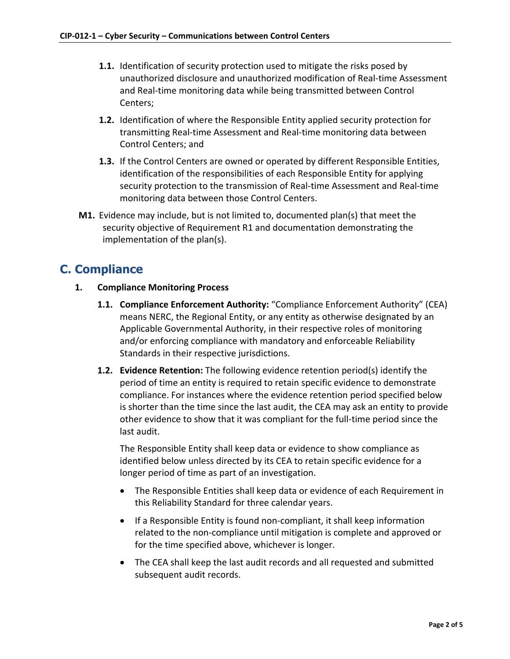- **1.1.** Identification of security protection used to mitigate the risks posed by unauthorized disclosure and unauthorized modification of Real-time Assessment and Real-time monitoring data while being transmitted between Control Centers;
- **1.2.** Identification of where the Responsible Entity applied security protection for transmitting Real-time Assessment and Real-time monitoring data between Control Centers; and
- **1.3.** If the Control Centers are owned or operated by different Responsible Entities, identification of the responsibilities of each Responsible Entity for applying security protection to the transmission of Real-time Assessment and Real-time monitoring data between those Control Centers.
- **M1.** Evidence may include, but is not limited to, documented plan(s) that meet the security objective of Requirement R1 and documentation demonstrating the implementation of the plan(s).

### **C. Compliance**

- **1. Compliance Monitoring Process**
	- **1.1. Compliance Enforcement Authority:** "Compliance Enforcement Authority" (CEA) means NERC, the Regional Entity, or any entity as otherwise designated by an Applicable Governmental Authority, in their respective roles of monitoring and/or enforcing compliance with mandatory and enforceable Reliability Standards in their respective jurisdictions.
	- **1.2. Evidence Retention:** The following evidence retention period(s) identify the period of time an entity is required to retain specific evidence to demonstrate compliance. For instances where the evidence retention period specified below is shorter than the time since the last audit, the CEA may ask an entity to provide other evidence to show that it was compliant for the full-time period since the last audit.

The Responsible Entity shall keep data or evidence to show compliance as identified below unless directed by its CEA to retain specific evidence for a longer period of time as part of an investigation.

- The Responsible Entities shall keep data or evidence of each Requirement in this Reliability Standard for three calendar years.
- If a Responsible Entity is found non-compliant, it shall keep information related to the non-compliance until mitigation is complete and approved or for the time specified above, whichever is longer.
- The CEA shall keep the last audit records and all requested and submitted subsequent audit records.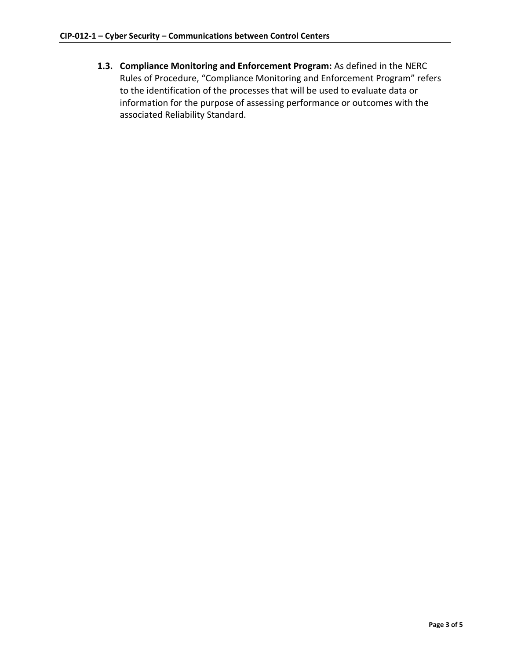**1.3. Compliance Monitoring and Enforcement Program:** As defined in the NERC Rules of Procedure, "Compliance Monitoring and Enforcement Program" refers to the identification of the processes that will be used to evaluate data or information for the purpose of assessing performance or outcomes with the associated Reliability Standard.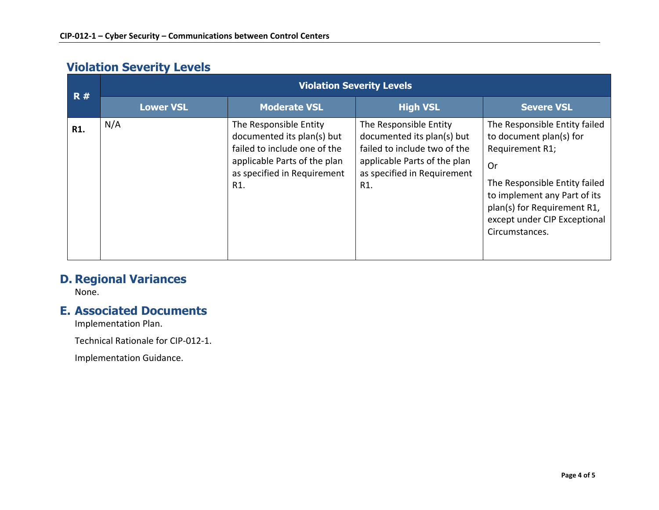# **Violation Severity Levels**

| R#  | <b>Violation Severity Levels</b> |                                                                                                                                                            |                                                                                                                                                            |                                                                                                                                                                                                                                     |  |
|-----|----------------------------------|------------------------------------------------------------------------------------------------------------------------------------------------------------|------------------------------------------------------------------------------------------------------------------------------------------------------------|-------------------------------------------------------------------------------------------------------------------------------------------------------------------------------------------------------------------------------------|--|
|     | <b>Lower VSL</b>                 | <b>Moderate VSL</b>                                                                                                                                        | <b>High VSL</b>                                                                                                                                            | <b>Severe VSL</b>                                                                                                                                                                                                                   |  |
| R1. | N/A                              | The Responsible Entity<br>documented its plan(s) but<br>failed to include one of the<br>applicable Parts of the plan<br>as specified in Requirement<br>R1. | The Responsible Entity<br>documented its plan(s) but<br>failed to include two of the<br>applicable Parts of the plan<br>as specified in Requirement<br>R1. | The Responsible Entity failed<br>to document plan(s) for<br>Requirement R1;<br>Or<br>The Responsible Entity failed<br>to implement any Part of its<br>plan(s) for Requirement R1,<br>except under CIP Exceptional<br>Circumstances. |  |

### **D. Regional Variances**

None.

#### **E. Associated Documents**

Implementation Plan.

Technical Rationale for CIP-012-1.

Implementation Guidance.